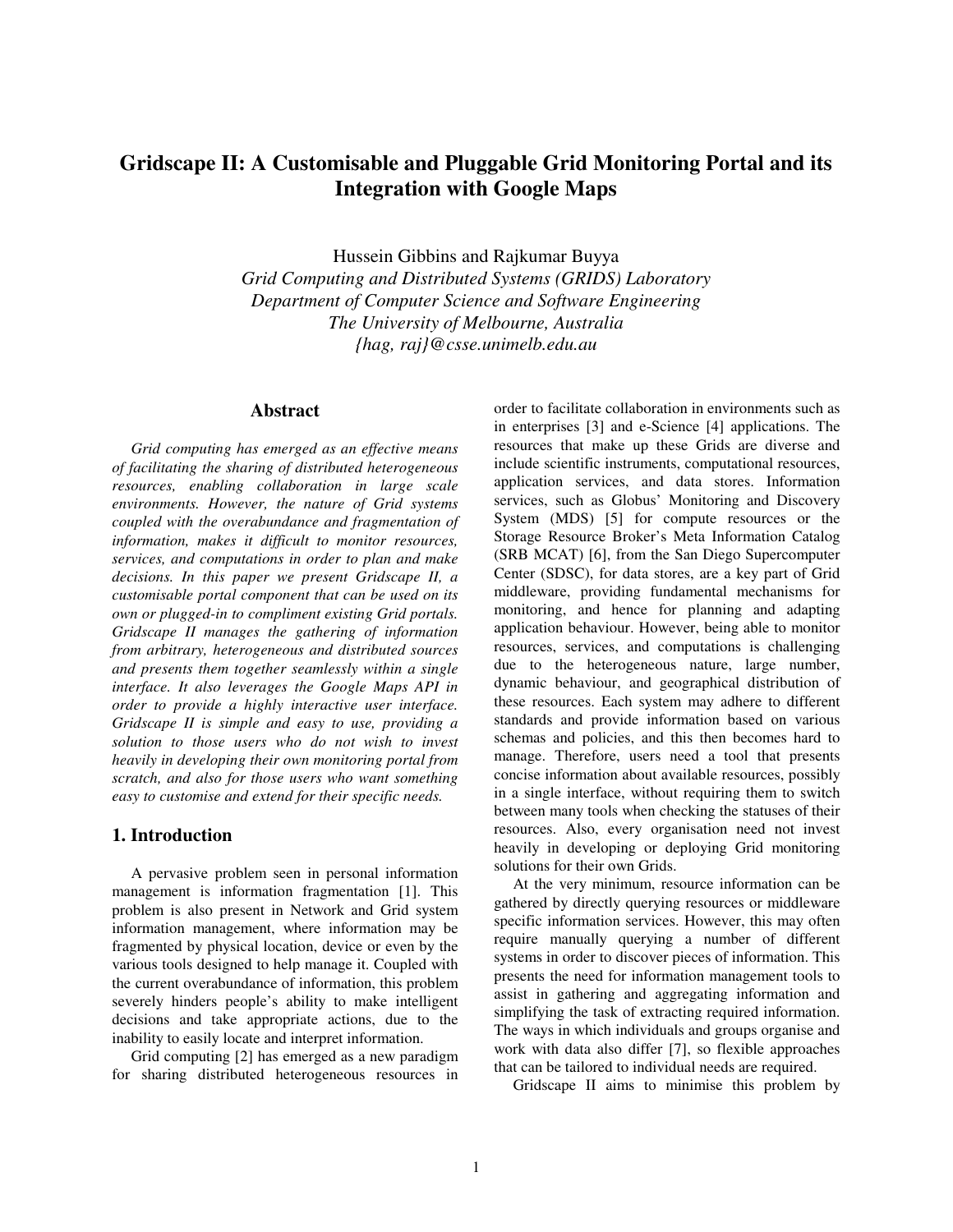# **Gridscape II: A Customisable and Pluggable Grid Monitoring Portal and its Integration with Google Maps**

Hussein Gibbins and Rajkumar Buyya *Grid Computing and Distributed Systems (GRIDS) Laboratory Department of Computer Science and Software Engineering The University of Melbourne, Australia {hag, raj}@csse.unimelb.edu.au* 

### **Abstract**

*Grid computing has emerged as an effective means of facilitating the sharing of distributed heterogeneous resources, enabling collaboration in large scale environments. However, the nature of Grid systems coupled with the overabundance and fragmentation of information, makes it difficult to monitor resources, services, and computations in order to plan and make decisions. In this paper we present Gridscape II, a customisable portal component that can be used on its own or plugged-in to compliment existing Grid portals. Gridscape II manages the gathering of information from arbitrary, heterogeneous and distributed sources and presents them together seamlessly within a single interface. It also leverages the Google Maps API in order to provide a highly interactive user interface. Gridscape II is simple and easy to use, providing a solution to those users who do not wish to invest heavily in developing their own monitoring portal from scratch, and also for those users who want something easy to customise and extend for their specific needs.* 

### **1. Introduction**

A pervasive problem seen in personal information management is information fragmentation [1]. This problem is also present in Network and Grid system information management, where information may be fragmented by physical location, device or even by the various tools designed to help manage it. Coupled with the current overabundance of information, this problem severely hinders people's ability to make intelligent decisions and take appropriate actions, due to the inability to easily locate and interpret information.

Grid computing [2] has emerged as a new paradigm for sharing distributed heterogeneous resources in

order to facilitate collaboration in environments such as in enterprises [3] and e-Science [4] applications. The resources that make up these Grids are diverse and include scientific instruments, computational resources, application services, and data stores. Information services, such as Globus' Monitoring and Discovery System (MDS) [5] for compute resources or the Storage Resource Broker's Meta Information Catalog (SRB MCAT) [6], from the San Diego Supercomputer Center (SDSC), for data stores, are a key part of Grid middleware, providing fundamental mechanisms for monitoring, and hence for planning and adapting application behaviour. However, being able to monitor resources, services, and computations is challenging due to the heterogeneous nature, large number, dynamic behaviour, and geographical distribution of these resources. Each system may adhere to different standards and provide information based on various schemas and policies, and this then becomes hard to manage. Therefore, users need a tool that presents concise information about available resources, possibly in a single interface, without requiring them to switch between many tools when checking the statuses of their resources. Also, every organisation need not invest heavily in developing or deploying Grid monitoring solutions for their own Grids.

At the very minimum, resource information can be gathered by directly querying resources or middleware specific information services. However, this may often require manually querying a number of different systems in order to discover pieces of information. This presents the need for information management tools to assist in gathering and aggregating information and simplifying the task of extracting required information. The ways in which individuals and groups organise and work with data also differ [7], so flexible approaches that can be tailored to individual needs are required.

Gridscape II aims to minimise this problem by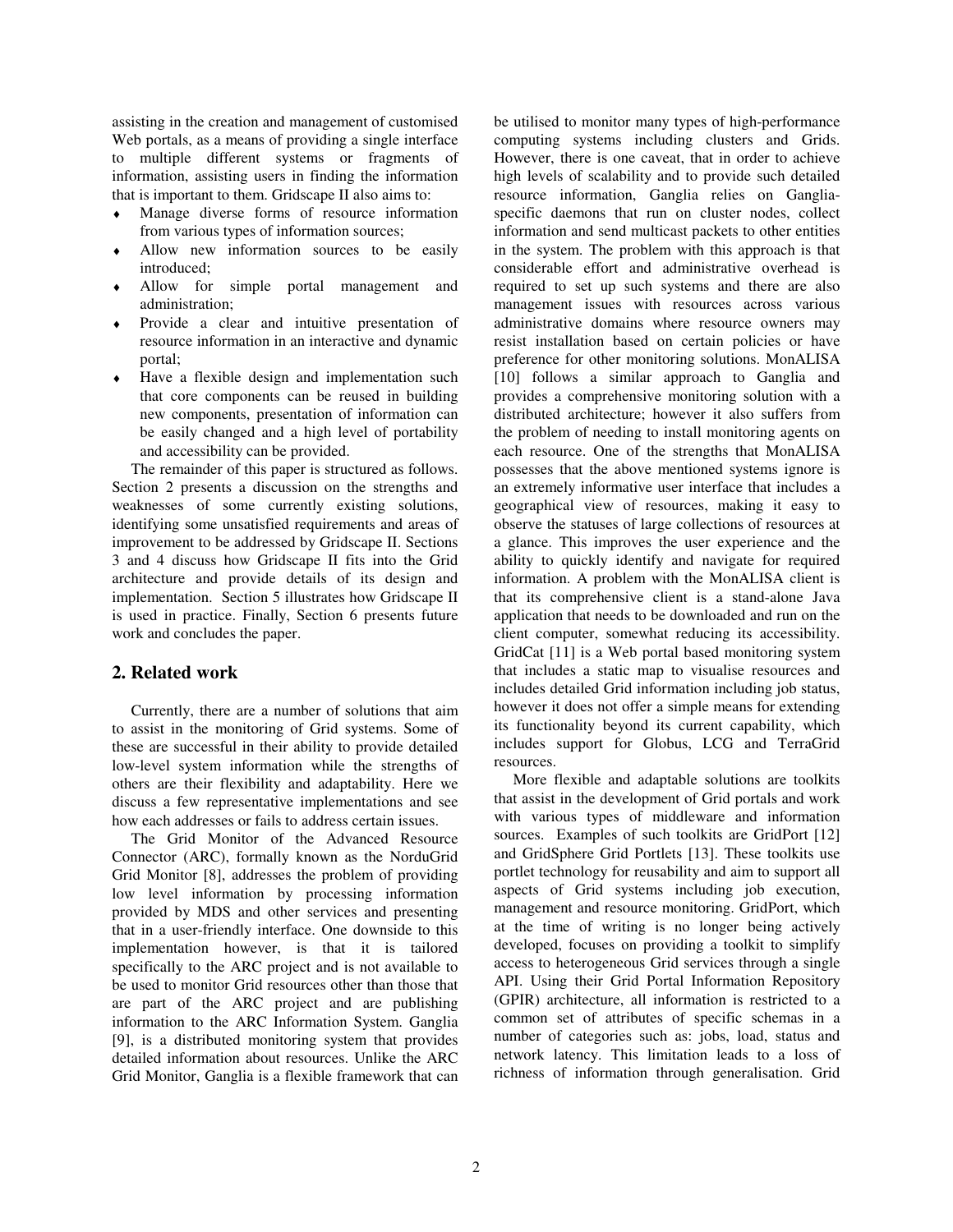assisting in the creation and management of customised Web portals, as a means of providing a single interface to multiple different systems or fragments of information, assisting users in finding the information that is important to them. Gridscape II also aims to:

- Manage diverse forms of resource information from various types of information sources;
- Allow new information sources to be easily introduced;
- Allow for simple portal management and administration;
- Provide a clear and intuitive presentation of resource information in an interactive and dynamic portal;
- Have a flexible design and implementation such that core components can be reused in building new components, presentation of information can be easily changed and a high level of portability and accessibility can be provided.

The remainder of this paper is structured as follows. Section 2 presents a discussion on the strengths and weaknesses of some currently existing solutions, identifying some unsatisfied requirements and areas of improvement to be addressed by Gridscape II. Sections 3 and 4 discuss how Gridscape II fits into the Grid architecture and provide details of its design and implementation. Section 5 illustrates how Gridscape II is used in practice. Finally, Section 6 presents future work and concludes the paper.

### **2. Related work**

Currently, there are a number of solutions that aim to assist in the monitoring of Grid systems. Some of these are successful in their ability to provide detailed low-level system information while the strengths of others are their flexibility and adaptability. Here we discuss a few representative implementations and see how each addresses or fails to address certain issues.

The Grid Monitor of the Advanced Resource Connector (ARC), formally known as the NorduGrid Grid Monitor [8], addresses the problem of providing low level information by processing information provided by MDS and other services and presenting that in a user-friendly interface. One downside to this implementation however, is that it is tailored specifically to the ARC project and is not available to be used to monitor Grid resources other than those that are part of the ARC project and are publishing information to the ARC Information System. Ganglia [9], is a distributed monitoring system that provides detailed information about resources. Unlike the ARC Grid Monitor, Ganglia is a flexible framework that can

be utilised to monitor many types of high-performance computing systems including clusters and Grids. However, there is one caveat, that in order to achieve high levels of scalability and to provide such detailed resource information, Ganglia relies on Gangliaspecific daemons that run on cluster nodes, collect information and send multicast packets to other entities in the system. The problem with this approach is that considerable effort and administrative overhead is required to set up such systems and there are also management issues with resources across various administrative domains where resource owners may resist installation based on certain policies or have preference for other monitoring solutions. MonALISA [10] follows a similar approach to Ganglia and provides a comprehensive monitoring solution with a distributed architecture; however it also suffers from the problem of needing to install monitoring agents on each resource. One of the strengths that MonALISA possesses that the above mentioned systems ignore is an extremely informative user interface that includes a geographical view of resources, making it easy to observe the statuses of large collections of resources at a glance. This improves the user experience and the ability to quickly identify and navigate for required information. A problem with the MonALISA client is that its comprehensive client is a stand-alone Java application that needs to be downloaded and run on the client computer, somewhat reducing its accessibility. GridCat [11] is a Web portal based monitoring system that includes a static map to visualise resources and includes detailed Grid information including job status, however it does not offer a simple means for extending its functionality beyond its current capability, which includes support for Globus, LCG and TerraGrid resources.

More flexible and adaptable solutions are toolkits that assist in the development of Grid portals and work with various types of middleware and information sources. Examples of such toolkits are GridPort [12] and GridSphere Grid Portlets [13]. These toolkits use portlet technology for reusability and aim to support all aspects of Grid systems including job execution, management and resource monitoring. GridPort, which at the time of writing is no longer being actively developed, focuses on providing a toolkit to simplify access to heterogeneous Grid services through a single API. Using their Grid Portal Information Repository (GPIR) architecture, all information is restricted to a common set of attributes of specific schemas in a number of categories such as: jobs, load, status and network latency. This limitation leads to a loss of richness of information through generalisation. Grid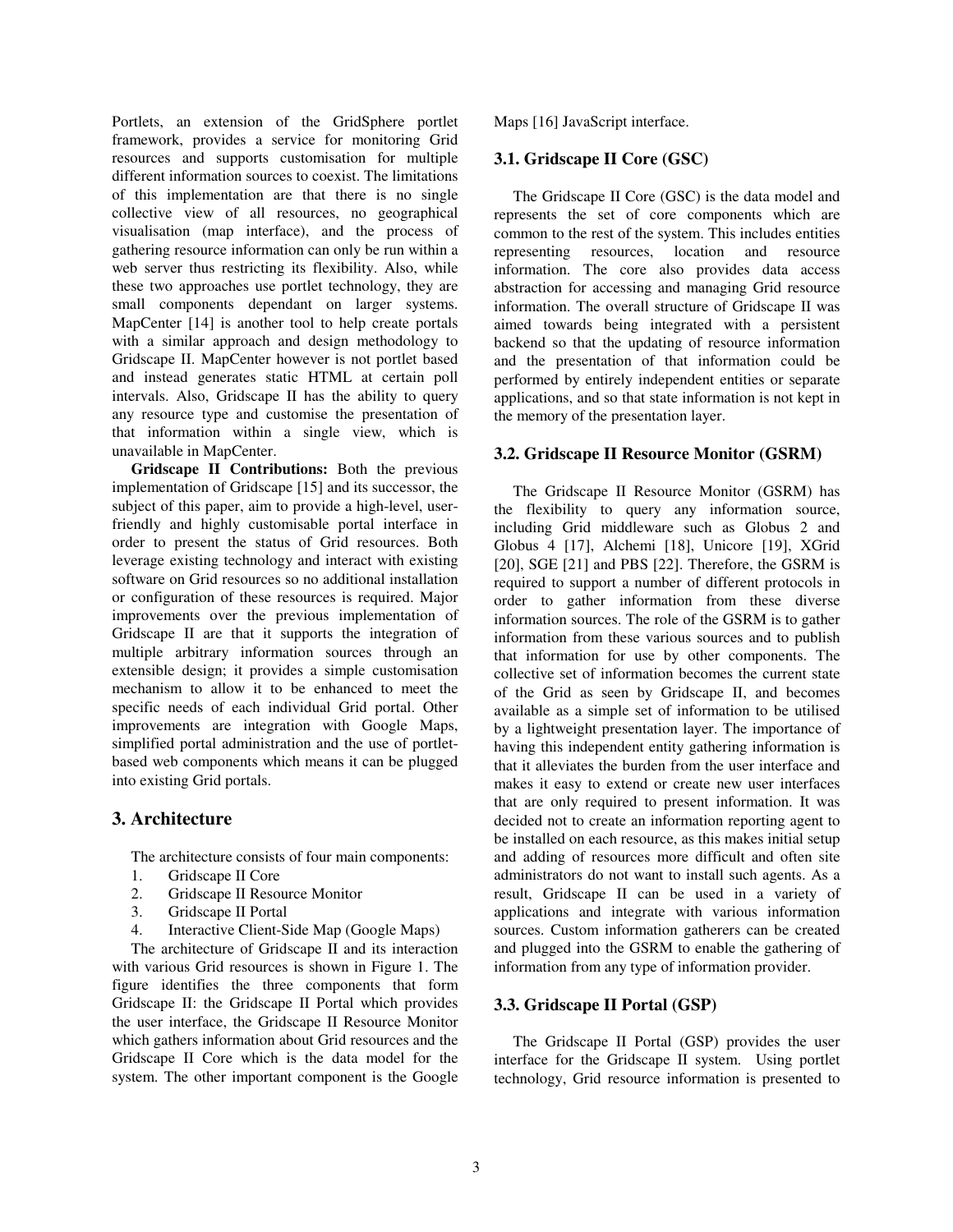Portlets, an extension of the GridSphere portlet framework, provides a service for monitoring Grid resources and supports customisation for multiple different information sources to coexist. The limitations of this implementation are that there is no single collective view of all resources, no geographical visualisation (map interface), and the process of gathering resource information can only be run within a web server thus restricting its flexibility. Also, while these two approaches use portlet technology, they are small components dependant on larger systems. MapCenter [14] is another tool to help create portals with a similar approach and design methodology to Gridscape II. MapCenter however is not portlet based and instead generates static HTML at certain poll intervals. Also, Gridscape II has the ability to query any resource type and customise the presentation of that information within a single view, which is unavailable in MapCenter.

**Gridscape II Contributions:** Both the previous implementation of Gridscape [15] and its successor, the subject of this paper, aim to provide a high-level, userfriendly and highly customisable portal interface in order to present the status of Grid resources. Both leverage existing technology and interact with existing software on Grid resources so no additional installation or configuration of these resources is required. Major improvements over the previous implementation of Gridscape II are that it supports the integration of multiple arbitrary information sources through an extensible design; it provides a simple customisation mechanism to allow it to be enhanced to meet the specific needs of each individual Grid portal. Other improvements are integration with Google Maps, simplified portal administration and the use of portletbased web components which means it can be plugged into existing Grid portals.

# **3. Architecture**

The architecture consists of four main components:

- 1. Gridscape II Core
- 2. Gridscape II Resource Monitor
- 3. Gridscape II Portal
- 4. Interactive Client-Side Map (Google Maps)

The architecture of Gridscape II and its interaction with various Grid resources is shown in Figure 1. The figure identifies the three components that form Gridscape II: the Gridscape II Portal which provides the user interface, the Gridscape II Resource Monitor which gathers information about Grid resources and the Gridscape II Core which is the data model for the system. The other important component is the Google Maps [16] JavaScript interface.

### **3.1. Gridscape II Core (GSC)**

The Gridscape II Core (GSC) is the data model and represents the set of core components which are common to the rest of the system. This includes entities representing resources, location and resource information. The core also provides data access abstraction for accessing and managing Grid resource information. The overall structure of Gridscape II was aimed towards being integrated with a persistent backend so that the updating of resource information and the presentation of that information could be performed by entirely independent entities or separate applications, and so that state information is not kept in the memory of the presentation layer.

### **3.2. Gridscape II Resource Monitor (GSRM)**

The Gridscape II Resource Monitor (GSRM) has the flexibility to query any information source, including Grid middleware such as Globus 2 and Globus 4 [17], Alchemi [18], Unicore [19], XGrid [20], SGE [21] and PBS [22]. Therefore, the GSRM is required to support a number of different protocols in order to gather information from these diverse information sources. The role of the GSRM is to gather information from these various sources and to publish that information for use by other components. The collective set of information becomes the current state of the Grid as seen by Gridscape II, and becomes available as a simple set of information to be utilised by a lightweight presentation layer. The importance of having this independent entity gathering information is that it alleviates the burden from the user interface and makes it easy to extend or create new user interfaces that are only required to present information. It was decided not to create an information reporting agent to be installed on each resource, as this makes initial setup and adding of resources more difficult and often site administrators do not want to install such agents. As a result, Gridscape II can be used in a variety of applications and integrate with various information sources. Custom information gatherers can be created and plugged into the GSRM to enable the gathering of information from any type of information provider.

### **3.3. Gridscape II Portal (GSP)**

The Gridscape II Portal (GSP) provides the user interface for the Gridscape II system. Using portlet technology, Grid resource information is presented to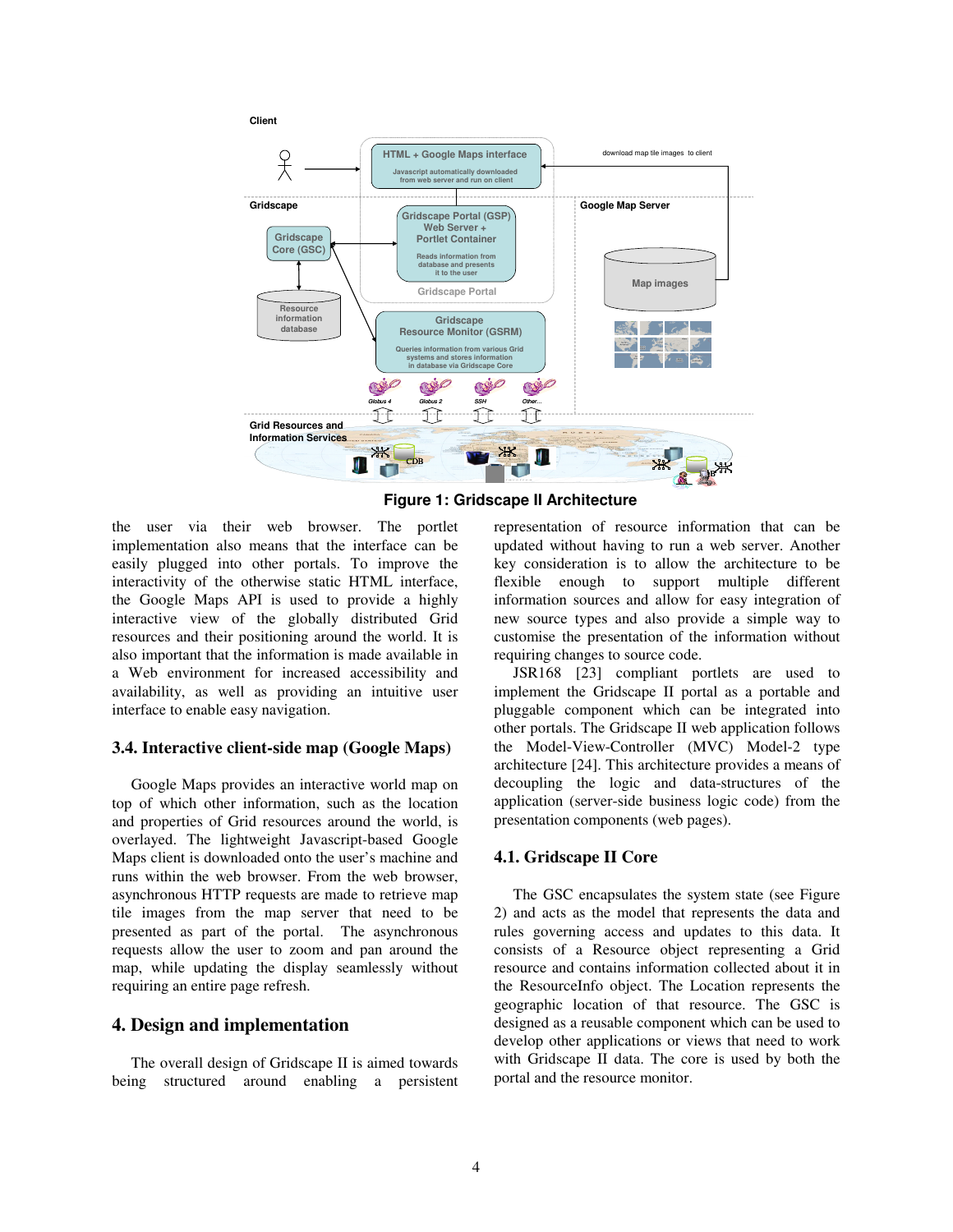

**Figure 1: Gridscape II Architecture** 

the user via their web browser. The portlet implementation also means that the interface can be easily plugged into other portals. To improve the interactivity of the otherwise static HTML interface, the Google Maps API is used to provide a highly interactive view of the globally distributed Grid resources and their positioning around the world. It is also important that the information is made available in a Web environment for increased accessibility and availability, as well as providing an intuitive user interface to enable easy navigation.

### **3.4. Interactive client-side map (Google Maps)**

Google Maps provides an interactive world map on top of which other information, such as the location and properties of Grid resources around the world, is overlayed. The lightweight Javascript-based Google Maps client is downloaded onto the user's machine and runs within the web browser. From the web browser, asynchronous HTTP requests are made to retrieve map tile images from the map server that need to be presented as part of the portal. The asynchronous requests allow the user to zoom and pan around the map, while updating the display seamlessly without requiring an entire page refresh.

### **4. Design and implementation**

The overall design of Gridscape II is aimed towards being structured around enabling a persistent representation of resource information that can be updated without having to run a web server. Another key consideration is to allow the architecture to be flexible enough to support multiple different information sources and allow for easy integration of new source types and also provide a simple way to customise the presentation of the information without requiring changes to source code.

JSR168 [23] compliant portlets are used to implement the Gridscape II portal as a portable and pluggable component which can be integrated into other portals. The Gridscape II web application follows the Model-View-Controller (MVC) Model-2 type architecture [24]. This architecture provides a means of decoupling the logic and data-structures of the application (server-side business logic code) from the presentation components (web pages).

#### **4.1. Gridscape II Core**

The GSC encapsulates the system state (see Figure 2) and acts as the model that represents the data and rules governing access and updates to this data. It consists of a Resource object representing a Grid resource and contains information collected about it in the ResourceInfo object. The Location represents the geographic location of that resource. The GSC is designed as a reusable component which can be used to develop other applications or views that need to work with Gridscape II data. The core is used by both the portal and the resource monitor.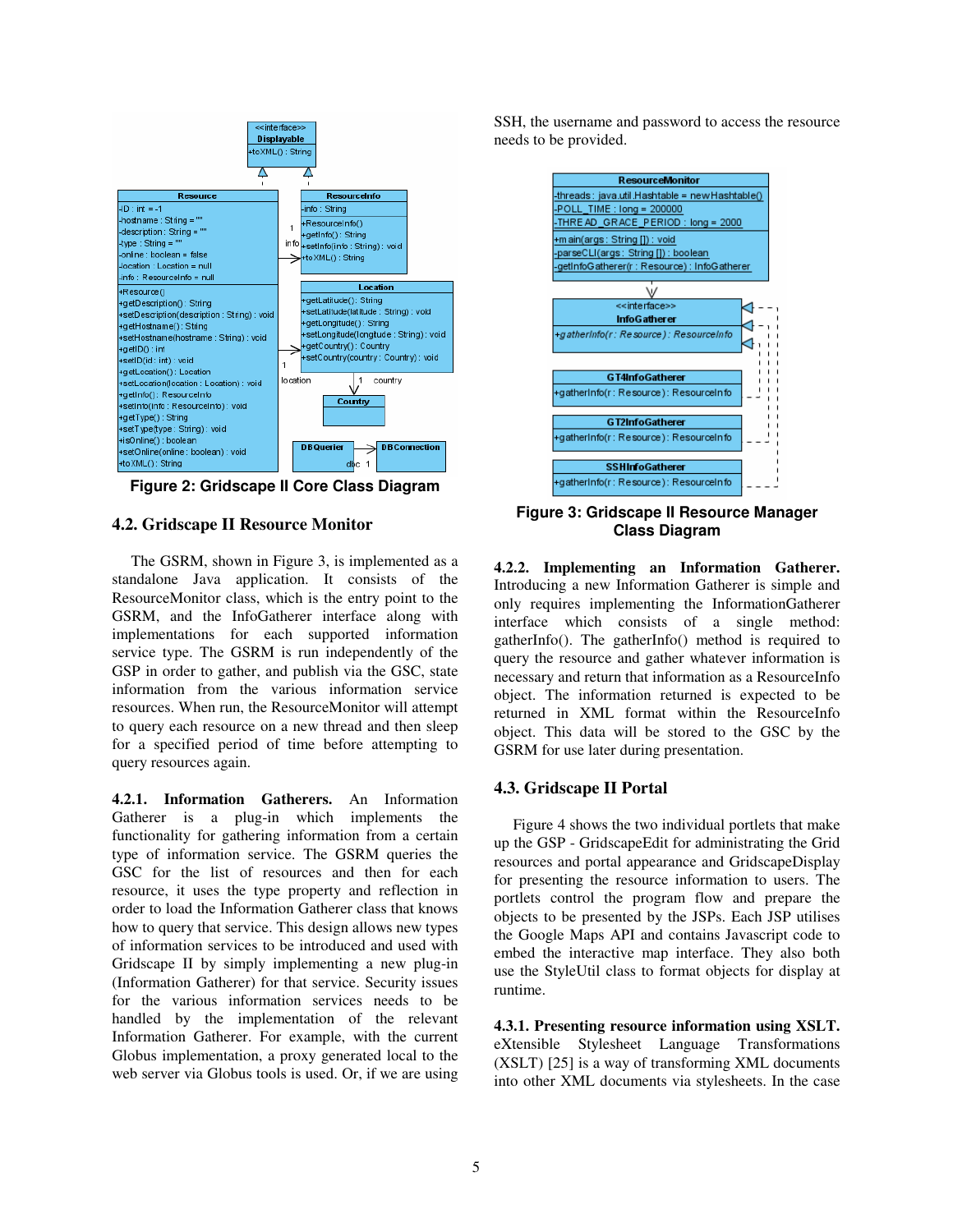

**Figure 2: Gridscape II Core Class Diagram** 

### **4.2. Gridscape II Resource Monitor**

The GSRM, shown in Figure 3, is implemented as a standalone Java application. It consists of the ResourceMonitor class, which is the entry point to the GSRM, and the InfoGatherer interface along with implementations for each supported information service type. The GSRM is run independently of the GSP in order to gather, and publish via the GSC, state information from the various information service resources. When run, the ResourceMonitor will attempt to query each resource on a new thread and then sleep for a specified period of time before attempting to query resources again.

**4.2.1. Information Gatherers.** An Information Gatherer is a plug-in which implements the functionality for gathering information from a certain type of information service. The GSRM queries the GSC for the list of resources and then for each resource, it uses the type property and reflection in order to load the Information Gatherer class that knows how to query that service. This design allows new types of information services to be introduced and used with Gridscape II by simply implementing a new plug-in (Information Gatherer) for that service. Security issues for the various information services needs to be handled by the implementation of the relevant Information Gatherer. For example, with the current Globus implementation, a proxy generated local to the web server via Globus tools is used. Or, if we are using SSH, the username and password to access the resource needs to be provided.



**Figure 3: Gridscape II Resource Manager Class Diagram** 

**4.2.2. Implementing an Information Gatherer.** Introducing a new Information Gatherer is simple and only requires implementing the InformationGatherer interface which consists of a single method: gatherInfo(). The gatherInfo() method is required to query the resource and gather whatever information is necessary and return that information as a ResourceInfo object. The information returned is expected to be returned in XML format within the ResourceInfo object. This data will be stored to the GSC by the GSRM for use later during presentation.

### **4.3. Gridscape II Portal**

Figure 4 shows the two individual portlets that make up the GSP - GridscapeEdit for administrating the Grid resources and portal appearance and GridscapeDisplay for presenting the resource information to users. The portlets control the program flow and prepare the objects to be presented by the JSPs. Each JSP utilises the Google Maps API and contains Javascript code to embed the interactive map interface. They also both use the StyleUtil class to format objects for display at runtime.

**4.3.1. Presenting resource information using XSLT.** eXtensible Stylesheet Language Transformations (XSLT) [25] is a way of transforming XML documents into other XML documents via stylesheets. In the case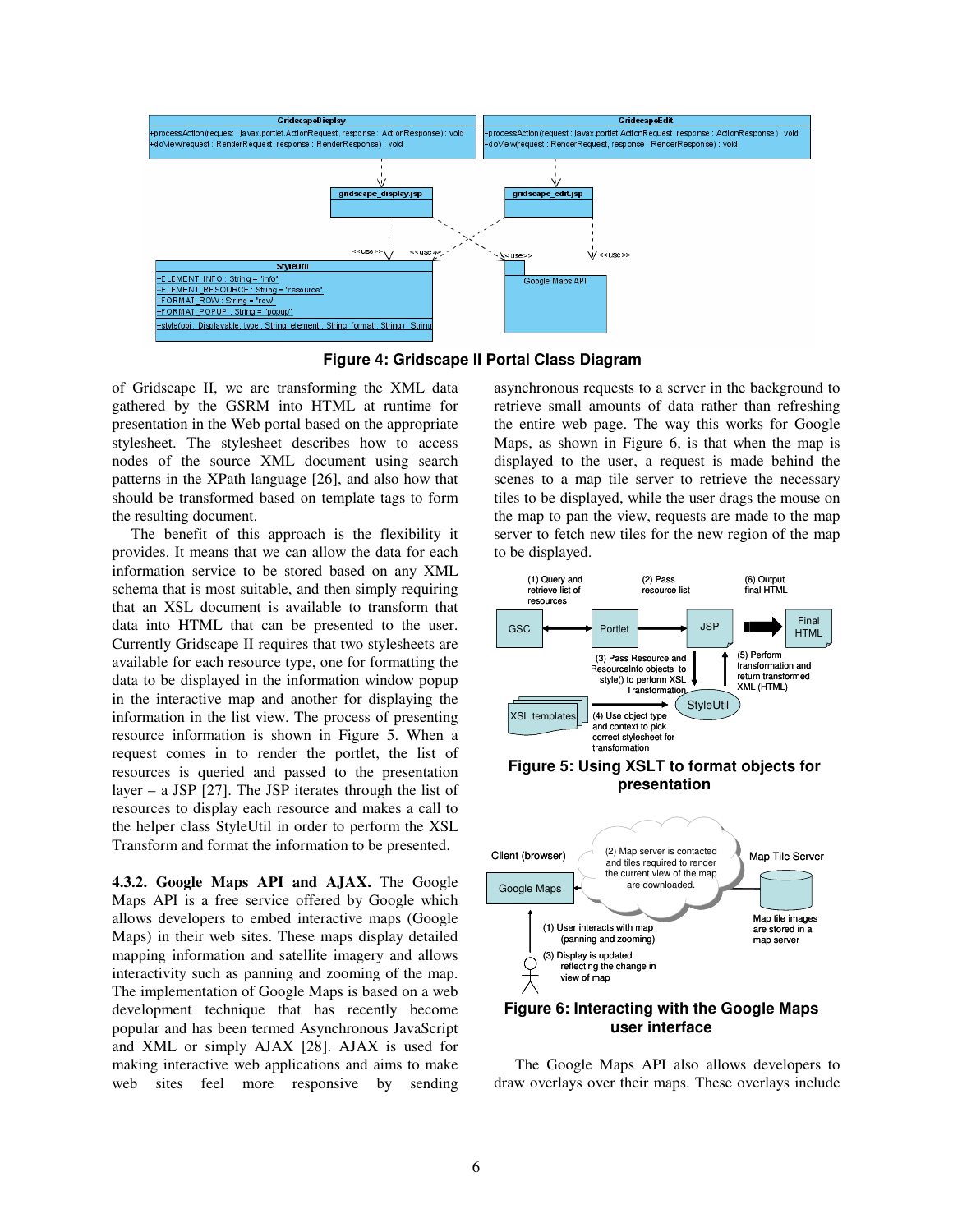

**Figure 4: Gridscape II Portal Class Diagram** 

of Gridscape II, we are transforming the XML data gathered by the GSRM into HTML at runtime for presentation in the Web portal based on the appropriate stylesheet. The stylesheet describes how to access nodes of the source XML document using search patterns in the XPath language [26], and also how that should be transformed based on template tags to form the resulting document.

The benefit of this approach is the flexibility it provides. It means that we can allow the data for each information service to be stored based on any XML schema that is most suitable, and then simply requiring that an XSL document is available to transform that data into HTML that can be presented to the user. Currently Gridscape II requires that two stylesheets are available for each resource type, one for formatting the data to be displayed in the information window popup in the interactive map and another for displaying the information in the list view. The process of presenting resource information is shown in Figure 5. When a request comes in to render the portlet, the list of resources is queried and passed to the presentation layer – a JSP [27]. The JSP iterates through the list of resources to display each resource and makes a call to the helper class StyleUtil in order to perform the XSL Transform and format the information to be presented.

**4.3.2. Google Maps API and AJAX.** The Google Maps API is a free service offered by Google which allows developers to embed interactive maps (Google Maps) in their web sites. These maps display detailed mapping information and satellite imagery and allows interactivity such as panning and zooming of the map. The implementation of Google Maps is based on a web development technique that has recently become popular and has been termed Asynchronous JavaScript and XML or simply AJAX [28]. AJAX is used for making interactive web applications and aims to make web sites feel more responsive by sending

asynchronous requests to a server in the background to retrieve small amounts of data rather than refreshing the entire web page. The way this works for Google Maps, as shown in Figure 6, is that when the map is displayed to the user, a request is made behind the scenes to a map tile server to retrieve the necessary tiles to be displayed, while the user drags the mouse on the map to pan the view, requests are made to the map server to fetch new tiles for the new region of the map to be displayed.



The Google Maps API also allows developers to draw overlays over their maps. These overlays include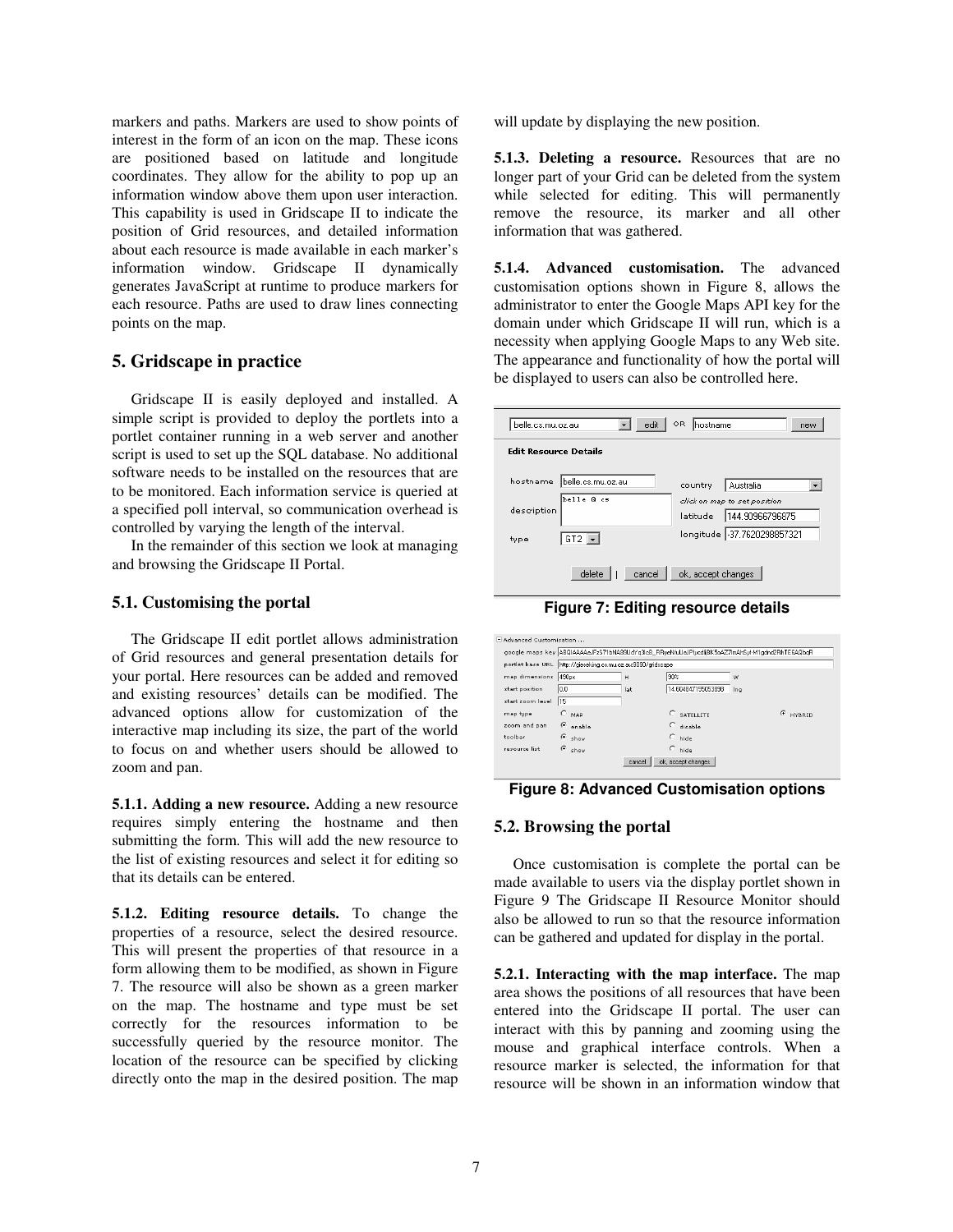markers and paths. Markers are used to show points of interest in the form of an icon on the map. These icons are positioned based on latitude and longitude coordinates. They allow for the ability to pop up an information window above them upon user interaction. This capability is used in Gridscape II to indicate the position of Grid resources, and detailed information about each resource is made available in each marker's information window. Gridscape II dynamically generates JavaScript at runtime to produce markers for each resource. Paths are used to draw lines connecting points on the map.

### **5. Gridscape in practice**

Gridscape II is easily deployed and installed. A simple script is provided to deploy the portlets into a portlet container running in a web server and another script is used to set up the SQL database. No additional software needs to be installed on the resources that are to be monitored. Each information service is queried at a specified poll interval, so communication overhead is controlled by varying the length of the interval.

In the remainder of this section we look at managing and browsing the Gridscape II Portal.

### **5.1. Customising the portal**

The Gridscape II edit portlet allows administration of Grid resources and general presentation details for your portal. Here resources can be added and removed and existing resources' details can be modified. The advanced options allow for customization of the interactive map including its size, the part of the world to focus on and whether users should be allowed to zoom and pan.

**5.1.1. Adding a new resource.** Adding a new resource requires simply entering the hostname and then submitting the form. This will add the new resource to the list of existing resources and select it for editing so that its details can be entered.

**5.1.2. Editing resource details.** To change the properties of a resource, select the desired resource. This will present the properties of that resource in a form allowing them to be modified, as shown in Figure 7. The resource will also be shown as a green marker on the map. The hostname and type must be set correctly for the resources information to be successfully queried by the resource monitor. The location of the resource can be specified by clicking directly onto the map in the desired position. The map

will update by displaying the new position.

**5.1.3. Deleting a resource.** Resources that are no longer part of your Grid can be deleted from the system while selected for editing. This will permanently remove the resource, its marker and all other information that was gathered.

**5.1.4. Advanced customisation.** The advanced customisation options shown in Figure 8, allows the administrator to enter the Google Maps API key for the domain under which Gridscape II will run, which is a necessity when applying Google Maps to any Web site. The appearance and functionality of how the portal will be displayed to users can also be controlled here.

| <b>I</b> hostname<br>belle.cs.mu.oz.au<br>OR.<br>edit<br>new                                       |                                                                                                                      |  |  |  |  |  |
|----------------------------------------------------------------------------------------------------|----------------------------------------------------------------------------------------------------------------------|--|--|--|--|--|
| <b>Edit Resource Details</b>                                                                       |                                                                                                                      |  |  |  |  |  |
| belle.cs.mu.oz.au<br>hostname<br>belle @ cs<br>description<br>GT2 $\vert \mathbf{v} \vert$<br>type | l Australia<br>country<br>click on map to set position<br>144.90966796875<br>latitude<br>longitude -37.7620298857321 |  |  |  |  |  |
| ok, accept changes<br>delete<br>cancel                                                             |                                                                                                                      |  |  |  |  |  |

**Figure 7: Editing resource details** 

| Advanced Customisation |                                                                                                 |        |                    |     |          |  |
|------------------------|-------------------------------------------------------------------------------------------------|--------|--------------------|-----|----------|--|
|                        | google maps key ABQIAAAAeJFzS71bNA89UdYq3lcB_RRyeNfuUeJPfycdlijBK5oAZ7lmAhSyf-M1gdnd2RhTE6AQbqR |        |                    |     |          |  |
|                        | portlet base URL http://gieseking.cs.mu.oz.au:9090/gridscape                                    |        |                    |     |          |  |
| map dimensions         | 490px                                                                                           | н      | 90%                | W   |          |  |
| start position         | 0.0                                                                                             | lat    | 14.604847155053898 | Ing |          |  |
| start zoom level       | 115                                                                                             |        |                    |     |          |  |
| map type               | $C$ <sub>MAP</sub>                                                                              |        | $\circ$ satellite  |     | G HYBRID |  |
| zoom and pan           | C enable                                                                                        |        | $\degree$ disable  |     |          |  |
| toolbar                | $\epsilon$ show                                                                                 |        | $C$ hide           |     |          |  |
| resource list          | $\epsilon$ <sub>show</sub>                                                                      |        | $C$ hide           |     |          |  |
|                        |                                                                                                 | cancel | ok, accept changes |     |          |  |

**Figure 8: Advanced Customisation options** 

#### **5.2. Browsing the portal**

Once customisation is complete the portal can be made available to users via the display portlet shown in Figure 9 The Gridscape II Resource Monitor should also be allowed to run so that the resource information can be gathered and updated for display in the portal.

**5.2.1. Interacting with the map interface.** The map area shows the positions of all resources that have been entered into the Gridscape II portal. The user can interact with this by panning and zooming using the mouse and graphical interface controls. When a resource marker is selected, the information for that resource will be shown in an information window that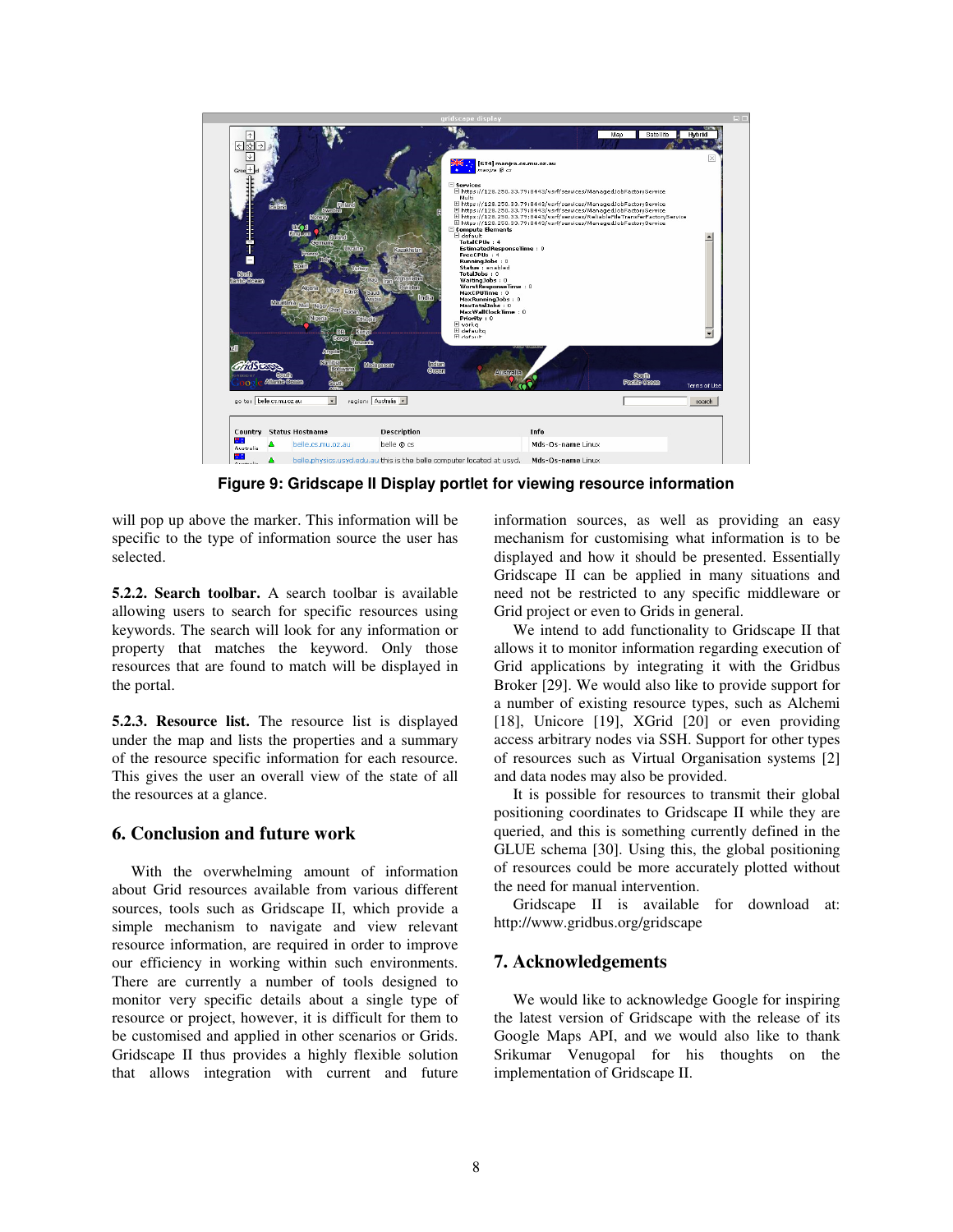

**Figure 9: Gridscape II Display portlet for viewing resource information** 

will pop up above the marker. This information will be specific to the type of information source the user has selected.

**5.2.2. Search toolbar.** A search toolbar is available allowing users to search for specific resources using keywords. The search will look for any information or property that matches the keyword. Only those resources that are found to match will be displayed in the portal.

**5.2.3. Resource list.** The resource list is displayed under the map and lists the properties and a summary of the resource specific information for each resource. This gives the user an overall view of the state of all the resources at a glance.

# **6. Conclusion and future work**

With the overwhelming amount of information about Grid resources available from various different sources, tools such as Gridscape II, which provide a simple mechanism to navigate and view relevant resource information, are required in order to improve our efficiency in working within such environments. There are currently a number of tools designed to monitor very specific details about a single type of resource or project, however, it is difficult for them to be customised and applied in other scenarios or Grids. Gridscape II thus provides a highly flexible solution that allows integration with current and future information sources, as well as providing an easy mechanism for customising what information is to be displayed and how it should be presented. Essentially Gridscape II can be applied in many situations and need not be restricted to any specific middleware or Grid project or even to Grids in general.

We intend to add functionality to Gridscape II that allows it to monitor information regarding execution of Grid applications by integrating it with the Gridbus Broker [29]. We would also like to provide support for a number of existing resource types, such as Alchemi [18], Unicore [19], XGrid [20] or even providing access arbitrary nodes via SSH. Support for other types of resources such as Virtual Organisation systems [2] and data nodes may also be provided.

It is possible for resources to transmit their global positioning coordinates to Gridscape II while they are queried, and this is something currently defined in the GLUE schema [30]. Using this, the global positioning of resources could be more accurately plotted without the need for manual intervention.

Gridscape II is available for download at: http://www.gridbus.org/gridscape

# **7. Acknowledgements**

We would like to acknowledge Google for inspiring the latest version of Gridscape with the release of its Google Maps API, and we would also like to thank Srikumar Venugopal for his thoughts on the implementation of Gridscape II.